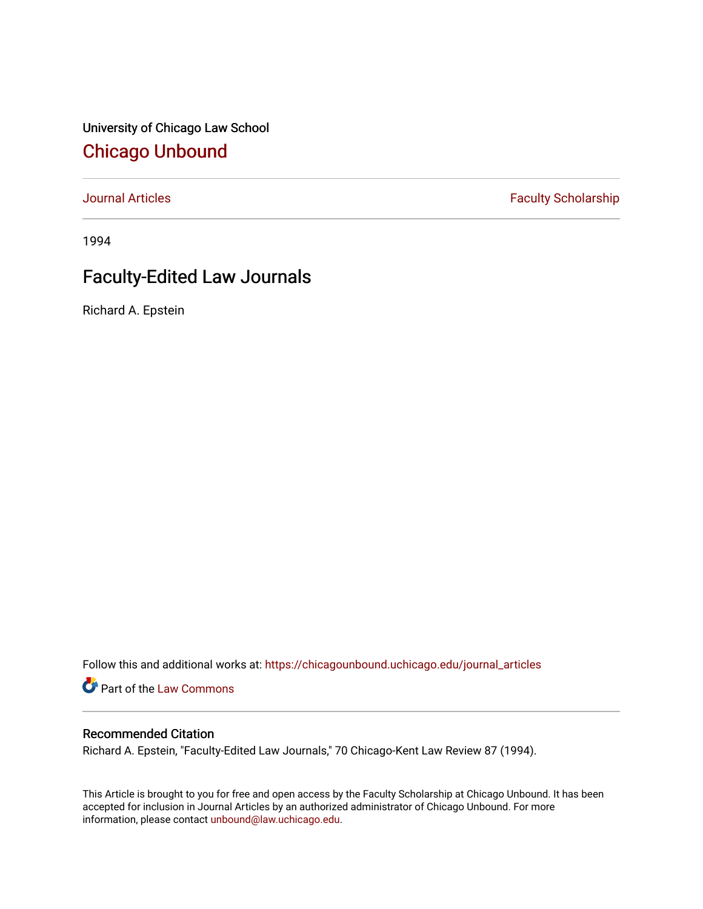University of Chicago Law School [Chicago Unbound](https://chicagounbound.uchicago.edu/)

[Journal Articles](https://chicagounbound.uchicago.edu/journal_articles) **Faculty Scholarship Faculty Scholarship** 

1994

## Faculty-Edited Law Journals

Richard A. Epstein

Follow this and additional works at: [https://chicagounbound.uchicago.edu/journal\\_articles](https://chicagounbound.uchicago.edu/journal_articles?utm_source=chicagounbound.uchicago.edu%2Fjournal_articles%2F1352&utm_medium=PDF&utm_campaign=PDFCoverPages) 

Part of the [Law Commons](http://network.bepress.com/hgg/discipline/578?utm_source=chicagounbound.uchicago.edu%2Fjournal_articles%2F1352&utm_medium=PDF&utm_campaign=PDFCoverPages)

## Recommended Citation

Richard A. Epstein, "Faculty-Edited Law Journals," 70 Chicago-Kent Law Review 87 (1994).

This Article is brought to you for free and open access by the Faculty Scholarship at Chicago Unbound. It has been accepted for inclusion in Journal Articles by an authorized administrator of Chicago Unbound. For more information, please contact [unbound@law.uchicago.edu](mailto:unbound@law.uchicago.edu).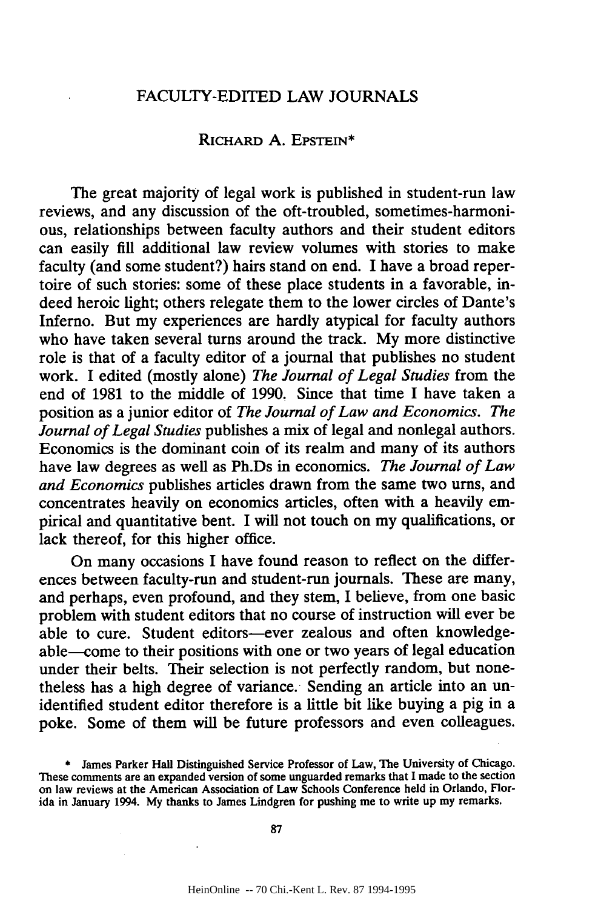## FACULTY-EDITED LAW JOURNALS

## RICHARD A. EPSTEIN\*

The great majority of legal work is published in student-run law reviews, and any discussion of the oft-troubled, sometimes-harmonious, relationships between faculty authors and their student editors can easily fill additional law review volumes with stories to make faculty (and some student?) hairs stand on end. **I** have a broad repertoire of such stories: some of these place students in a favorable, indeed heroic light; others relegate them to the lower circles of Dante's Inferno. But my experiences are hardly atypical for faculty authors who have taken several turns around the track. **My** more distinctive role is that of a faculty editor of a journal that publishes no student work. I edited (mostly alone) *The Journal of Legal Studies* from the end of **1981** to the middle of **1990.** Since that time I have taken a position as a junior editor of *The Journal of Law and Economics. The Journal of Legal Studies* publishes a mix of legal and nonlegal authors. Economics is the dominant coin of its realm and many of its authors have law degrees as well as Ph.Ds in economics. *The Journal of Law and Economics* publishes articles drawn from the same two urns, and concentrates heavily on economics articles, often with a heavily empirical and quantitative bent. I will not touch on my qualifications, or lack thereof, for this higher office.

On many occasions I have found reason to reflect on the differences between faculty-run and student-run journals. These are many, and perhaps, even profound, and they stem, I believe, from one basic problem with student editors that no course of instruction will ever be able to cure. Student editors-ever zealous and often knowledgeable-come to their positions with one or two years of legal education under their belts. Their selection is not perfectly random, but nonetheless has a high degree of variance. Sending an article into an unidentified student editor therefore is a little bit like buying a pig in a poke. Some of them will be future professors and even colleagues.

**<sup>\*</sup>** James Parker Hall Distinguished Service Professor of Law, The University of Chicago. These comments are an expanded version of some unguarded remarks that I made to the section on law reviews at the American Association of Law Schools Conference held in Orlando, Florida in January 1994. My thanks to James Lindgren for pushing me to write up my remarks.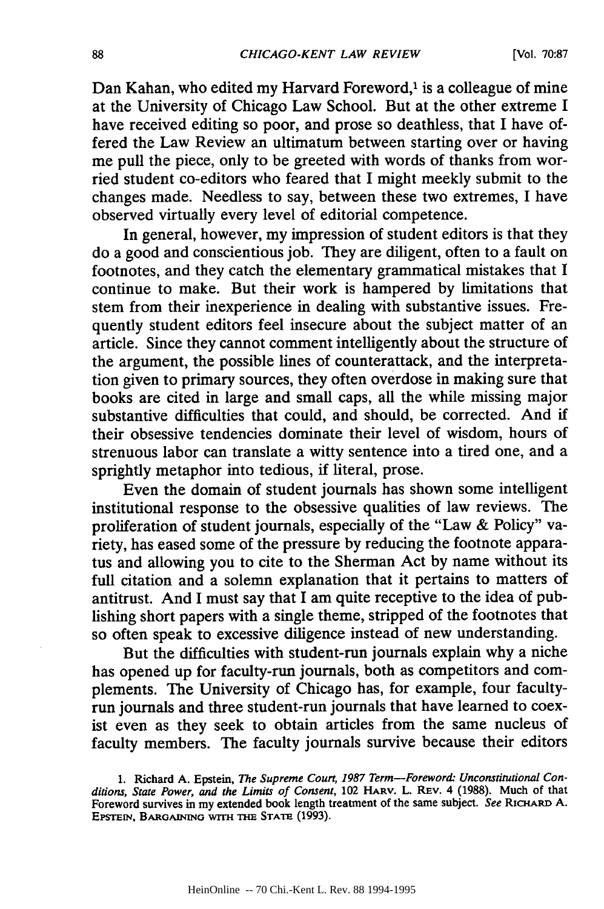Dan Kahan, who edited my Harvard Foreword,<sup>1</sup> is a colleague of mine at the University of Chicago Law School. But at the other extreme I have received editing so poor, and prose so deathless, that I have offered the Law Review an ultimatum between starting over or having me pull the piece, only to be greeted with words of thanks from worried student co-editors who feared that I might meekly submit to the changes made. Needless to say, between these two extremes, I have observed virtually every level of editorial competence.

In general, however, my impression of student editors is that they do a good and conscientious job. They are diligent, often to a fault on footnotes, and they catch the elementary grammatical mistakes that I continue to make. But their work is hampered by limitations that stem from their inexperience in dealing with substantive issues. Frequently student editors feel insecure about the subject matter of an article. Since they cannot comment intelligently about the structure of the argument, the possible lines of counterattack, and the interpretation given to primary sources, they often overdose in making sure that books are cited in large and small caps, all the while missing major substantive difficulties that could, and should, be corrected. And if their obsessive tendencies dominate their level of wisdom, hours of strenuous labor can translate a witty sentence into a tired one, and a sprightly metaphor into tedious, if literal, prose.

Even the domain of student journals has shown some intelligent institutional response to the obsessive qualities of law reviews. The proliferation of student journals, especially of the "Law & Policy" variety, has eased some of the pressure by reducing the footnote apparatus and allowing you to cite to the Sherman Act by name without its full citation and a solemn explanation that it pertains to matters of antitrust. And I must say that I am quite receptive to the idea of publishing short papers with a single theme, stripped of the footnotes that so often speak to excessive diligence instead of new understanding.

But the difficulties with student-run journals explain why a niche has opened up for faculty-run journals, both as competitors and complements. The University of Chicago has, for example, four facultyrun journals and three student-run journals that have learned to coexist even as they seek to obtain articles from the same nucleus of faculty members. The faculty journals survive because their editors

**<sup>1.</sup>** Richard **A.** Epstein, *The Supreme Court, 1987 Term-Foreword: Unconstitutional Conditions, State Power, and the Limits of Consent,* 102 HARv. L. REv. 4 (1988). Much of that Foreword survives in my extended book length treatment of the same subject. *See RICIARD* A. EPSTEIN, BARGAINING WITH THE STATE (1993).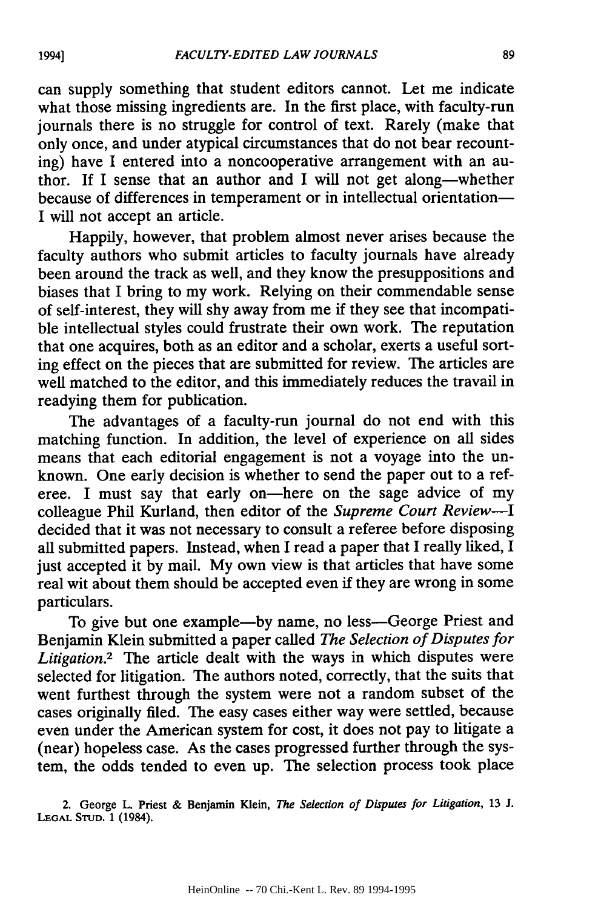can supply something that student editors cannot. Let me indicate what those missing ingredients are. In the first place, with faculty-run journals there is no struggle for control of text. Rarely (make that only once, and under atypical circumstances that do not bear recounting) have I entered into a noncooperative arrangement with an author. If I sense that an author and I will not get along-whether because of differences in temperament or in intellectual orientation-I will not accept an article.

Happily, however, that problem almost never arises because the faculty authors who submit articles to faculty journals have already been around the track as well, and they know the presuppositions and biases that I bring to my work. Relying on their commendable sense of self-interest, they will shy away from me if they see that incompatible intellectual styles could frustrate their own work. The reputation that one acquires, both as an editor and a scholar, exerts a useful sorting effect on the pieces that are submitted for review. The articles are well matched to the editor, and this immediately reduces the travail in readying them for publication.

The advantages of a faculty-run journal do not end with this matching function. In addition, the level of experience on all sides means that each editorial engagement is not a voyage into the unknown. One early decision is whether to send the paper out to a referee. I must say that early on-here on the sage advice of my colleague Phil Kurland, then editor of the *Supreme Court Review-I* decided that it was not necessary to consult a referee before disposing all submitted papers. Instead, when I read a paper that I really liked, I just accepted it by mail. My own view is that articles that have some real wit about them should be accepted even if they are wrong in some particulars.

To give but one example-by name, no less-George Priest and Benjamin Klein submitted a paper called *The Selection of Disputes for Litigation.2* The article dealt with the ways in which disputes were selected for litigation. The authors noted, correctly, that the suits that went furthest through the system were not a random subset of the cases originally filed. The easy cases either way were settled, because even under the American system for cost, it does not pay to litigate a (near) hopeless case. As the cases progressed further through the system, the odds tended to even up. The selection process took place

2. George L. Priest & Benjamin Klein, *The Selection of Disputes for Litigation,* 13 J. **LEGAL STUD.** 1 (1984).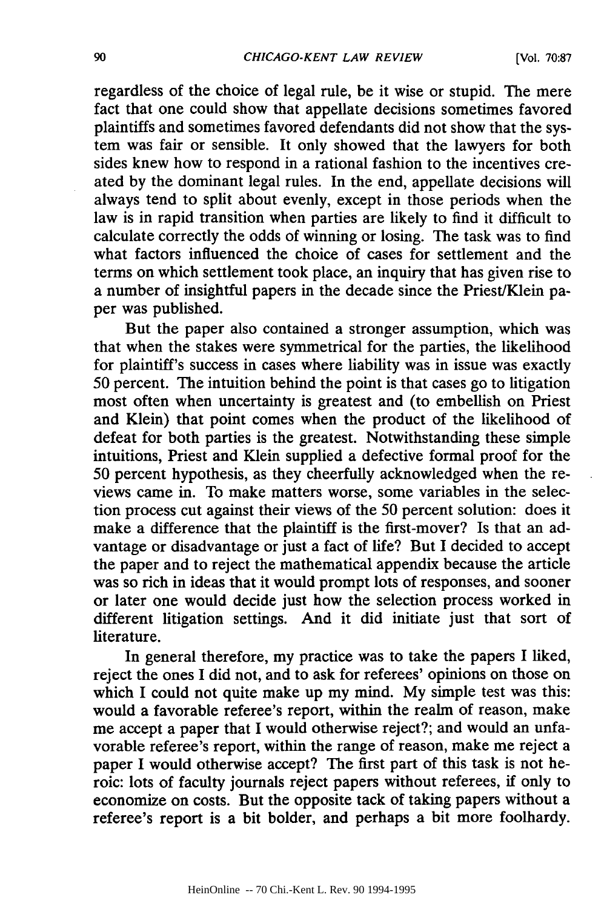regardless of the choice of legal rule, be it wise or stupid. The mere fact that one could show that appellate decisions sometimes favored plaintiffs and sometimes favored defendants did not show that the system was fair or sensible. It only showed that the lawyers for both sides knew how to respond in a rational fashion to the incentives created by the dominant legal rules. In the end, appellate decisions will always tend to split about evenly, except in those periods when the law is in rapid transition when parties are likely to find it difficult to calculate correctly the odds of winning or losing. The task was to find what factors influenced the choice of cases for settlement and the terms on which settlement took place, an inquiry that has given rise to a number of insightful papers in the decade since the Priest/Klein paper was published.

But the paper also contained a stronger assumption, which was that when the stakes were symmetrical for the parties, the likelihood for plaintiff's success in cases where liability was in issue was exactly 50 percent. The intuition behind the point is that cases go to litigation most often when uncertainty is greatest and (to embellish on Priest and Klein) that point comes when the product of the likelihood of defeat for both parties is the greatest. Notwithstanding these simple intuitions, Priest and Klein supplied a defective formal proof for the 50 percent hypothesis, as they cheerfully acknowledged when the reviews came in. To make matters worse, some variables in the selection process cut against their views of the 50 percent solution: does it make a difference that the plaintiff is the first-mover? Is that an advantage or disadvantage or just a fact of life? But I decided to accept the paper and to reject the mathematical appendix because the article was so rich in ideas that it would prompt lots of responses, and sooner or later one would decide just how the selection process worked in different litigation settings. And it did initiate just that sort of literature.

In general therefore, my practice was to take the papers I liked, reject the ones I did not, and to ask for referees' opinions on those on which I could not quite make up my mind. My simple test was this: would a favorable referee's report, within the realm of reason, make me accept a paper that I would otherwise reject?; and would an unfavorable referee's report, within the range of reason, make me reject a paper I would otherwise accept? The first part of this task is not heroic: lots of faculty journals reject papers without referees, if only to economize on costs. But the opposite tack of taking papers without a referee's report is a bit bolder, and perhaps a bit more foolhardy.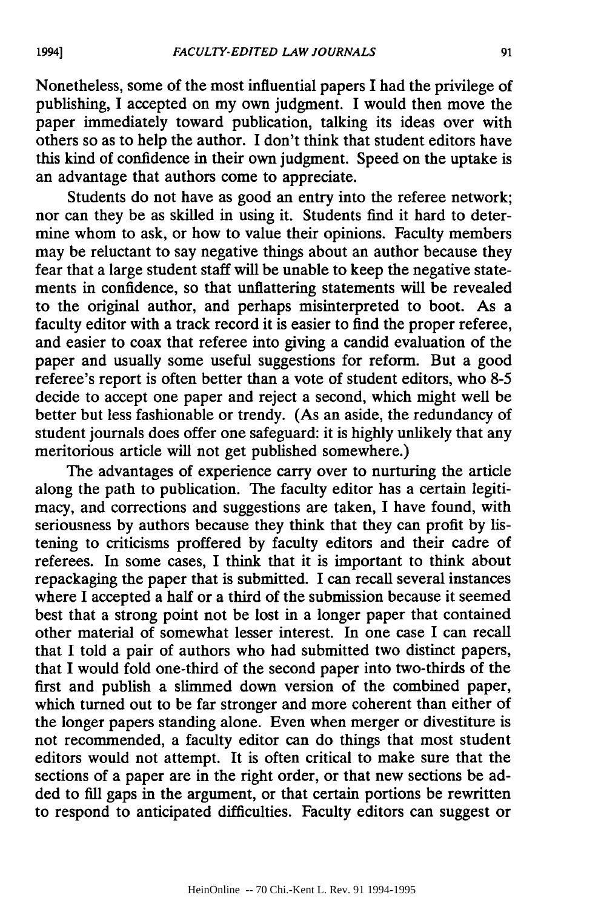Nonetheless, some of the most influential papers I had the privilege of publishing, I accepted on my own judgment. I would then move the paper immediately toward publication, talking its ideas over with others so as to help the author. I don't think that student editors have this kind of confidence in their own judgment. Speed on the uptake is an advantage that authors come to appreciate.

Students do not have as good an entry into the referee network; nor can they be as skilled in using it. Students find it hard to determine whom to ask, or how to value their opinions. Faculty members may be reluctant to say negative things about an author because they fear that a large student staff will be unable to keep the negative statements in confidence, so that unflattering statements will be revealed to the original author, and perhaps misinterpreted to boot. As a faculty editor with a track record it is easier to find the proper referee, and easier to coax that referee into giving a candid evaluation of the paper and usually some useful suggestions for reform. But a good referee's report is often better than a vote of student editors, who 8-5 decide to accept one paper and reject a second, which might well be better but less fashionable or trendy. (As an aside, the redundancy of student journals does offer one safeguard: it is highly unlikely that any meritorious article will not get published somewhere.)

The advantages of experience carry over to nurturing the article along the path to publication. The faculty editor has a certain legitimacy, and corrections and suggestions are taken, I have found, with seriousness by authors because they think that they can profit by listening to criticisms proffered by faculty editors and their cadre of referees. In some cases, I think that it is important to think about repackaging the paper that is submitted. I can recall several instances where I accepted a half or a third of the submission because it seemed best that a strong point not be lost in a longer paper that contained other material of somewhat lesser interest. In one case I can recall that I told a pair of authors who had submitted two distinct papers, that I would fold one-third of the second paper into two-thirds of the first and publish a slimmed down version of the combined paper, which turned out to be far stronger and more coherent than either of the longer papers standing alone. Even when merger or divestiture is not recommended, a faculty editor can do things that most student editors would not attempt. It is often critical to make sure that the sections of a paper are in the right order, or that new sections be added to fill gaps in the argument, or that certain portions be rewritten to respond to anticipated difficulties. Faculty editors can suggest or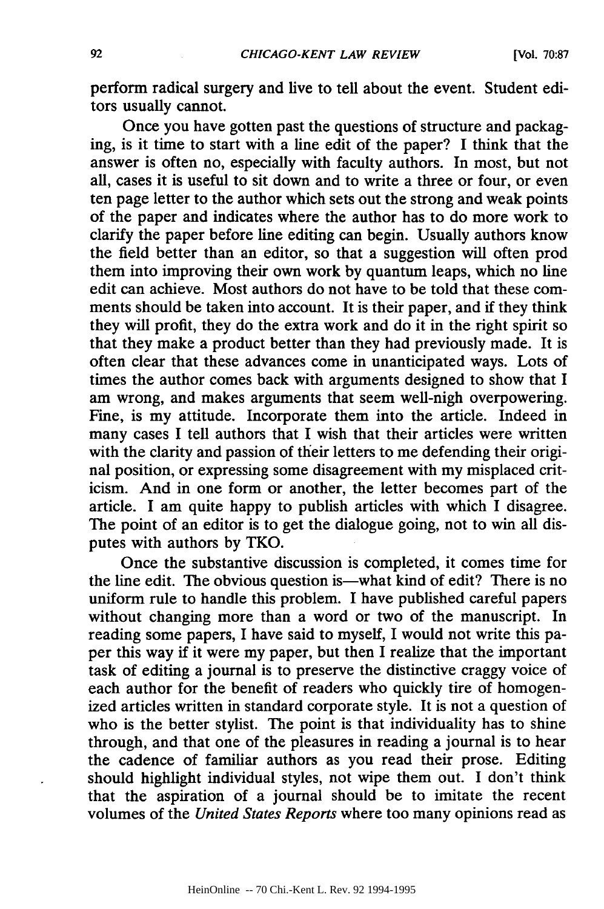perform radical surgery and live to tell about the event. Student editors usually cannot.

Once you have gotten past the questions of structure and packaging, is it time to start with a line edit of the paper? I think that the answer is often no, especially with faculty authors. In most, but not all, cases it is useful to sit down and to write a three or four, or even ten page letter to the author which sets out the strong and weak points of the paper and indicates where the author has to do more work to clarify the paper before line editing can begin. Usually authors know the field better than an editor, so that a suggestion will often prod them into improving their own work by quantum leaps, which no line edit can achieve. Most authors do not have to be told that these comments should be taken into account. It is their paper, and if they think they will profit, they do the extra work and do it in the right spirit so that they make a product better than they had previously made. It is often clear that these advances come in unanticipated ways. Lots of times the author comes back with arguments designed to show that I am wrong, and makes arguments that seem well-nigh overpowering. Fine, is my attitude. Incorporate them into the article. Indeed in many cases I tell authors that I wish that their articles were written with the clarity and passion of their letters to me defending their original position, or expressing some disagreement with my misplaced criticism. And in one form or another, the letter becomes part of the article. I am quite happy to publish articles with which I disagree. The point of an editor is to get the dialogue going, not to win all disputes with authors by TKO.

Once the substantive discussion is completed, it comes time for the line edit. The obvious question is—what kind of edit? There is no uniform rule to handle this problem. I have published careful papers without changing more than a word or two of the manuscript. In reading some papers, I have said to myself, I would not write this paper this way if it were my paper, but then I realize that the important task of editing a journal is to preserve the distinctive craggy voice of each author for the benefit of readers who quickly tire of homogenized articles written in standard corporate style. It is not a question of who is the better stylist. The point is that individuality has to shine through, and that one of the pleasures in reading a journal is to hear the cadence of familiar authors as you read their prose. Editing should highlight individual styles, not wipe them out. I don't think that the aspiration of a journal should be to imitate the recent volumes of the *United States Reports* where too many opinions read as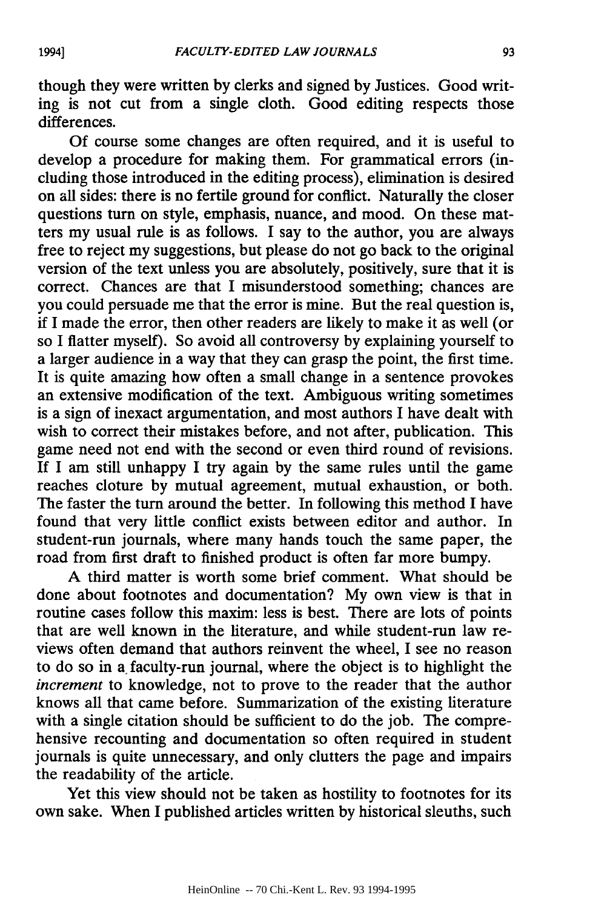though they were written by clerks and signed **by** Justices. Good writing is not cut from a single cloth. Good editing respects those differences.

**Of** course some changes are often required, and it is useful to develop a procedure for making them. For grammatical errors (including those introduced in the editing process), elimination is desired on all sides: there is no fertile ground for conflict. Naturally the closer questions turn on style, emphasis, nuance, and mood. On these matters my usual rule is as follows. I say to the author, you are always free to reject my suggestions, but please do not go back to the original version of the text unless you are absolutely, positively, sure that it is correct. Chances are that I misunderstood something; chances are you could persuade me that the error is mine. But the real question is, if I made the error, then other readers are likely to make it as well (or so I flatter myself). So avoid all controversy by explaining yourself to a larger audience in a way that they can grasp the point, the first time. It is quite amazing how often a small change in a sentence provokes an extensive modification of the text. Ambiguous writing sometimes is a sign of inexact argumentation, and most authors I have dealt with wish to correct their mistakes before, and not after, publication. This game need not end with the second or even third round of revisions. If I am still unhappy I try again by the same rules until the game reaches cloture by mutual agreement, mutual exhaustion, or both. The faster the turn around the better. In following this method I have found that very little conflict exists between editor and author. In student-run journals, where many hands touch the same paper, the road from first draft to finished product is often far more bumpy.

A third matter is worth some brief comment. What should be done about footnotes and documentation? My own view is that in routine cases follow this maxim: less is best. There are lots of points that are well known in the literature, and while student-run law reviews often demand that authors reinvent the wheel, I see no reason to do so in a, faculty-run journal, where the object is to highlight the *increment* to knowledge, not to prove to the reader that the author knows all that came before. Summarization of the existing literature with a single citation should be sufficient to do the job. The comprehensive recounting and documentation so often required in student journals is quite unnecessary, and only clutters the page and impairs the readability of the article.

Yet this view should not be taken as hostility to footnotes for its own sake. When I published articles written by historical sleuths, such